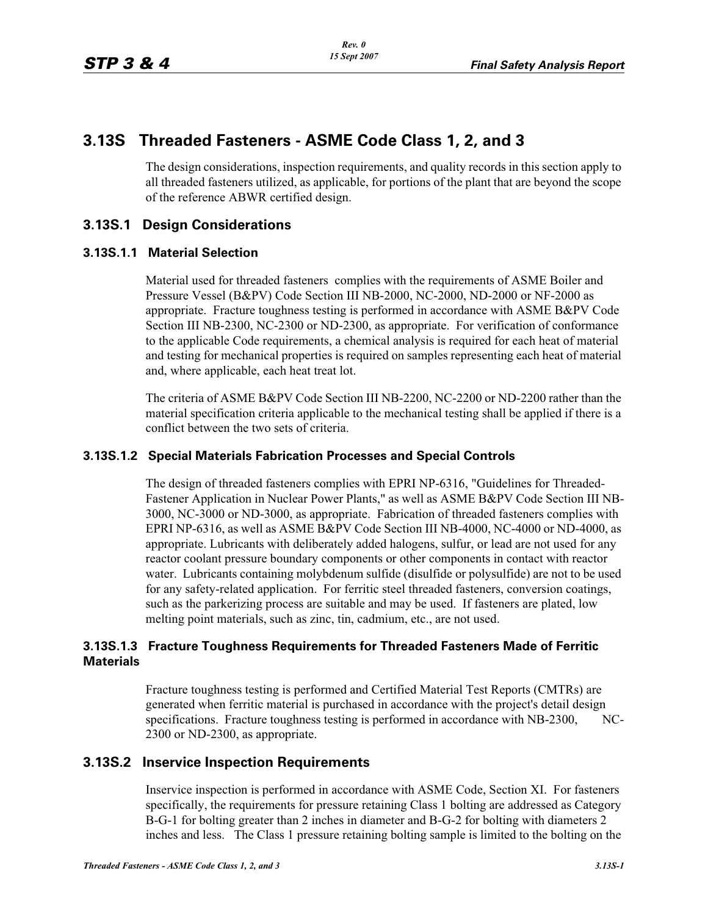# **3.13S Threaded Fasteners - ASME Code Class 1, 2, and 3**

The design considerations, inspection requirements, and quality records in this section apply to all threaded fasteners utilized, as applicable, for portions of the plant that are beyond the scope of the reference ABWR certified design.

## **3.13S.1 Design Considerations**

## **3.13S.1.1 Material Selection**

Material used for threaded fasteners complies with the requirements of ASME Boiler and Pressure Vessel (B&PV) Code Section III NB-2000, NC-2000, ND-2000 or NF-2000 as appropriate. Fracture toughness testing is performed in accordance with ASME B&PV Code Section III NB-2300, NC-2300 or ND-2300, as appropriate. For verification of conformance to the applicable Code requirements, a chemical analysis is required for each heat of material and testing for mechanical properties is required on samples representing each heat of material and, where applicable, each heat treat lot.

The criteria of ASME B&PV Code Section III NB-2200, NC-2200 or ND-2200 rather than the material specification criteria applicable to the mechanical testing shall be applied if there is a conflict between the two sets of criteria.

#### **3.13S.1.2 Special Materials Fabrication Processes and Special Controls**

The design of threaded fasteners complies with EPRI NP-6316, "Guidelines for Threaded-Fastener Application in Nuclear Power Plants," as well as ASME B&PV Code Section III NB-3000, NC-3000 or ND-3000, as appropriate. Fabrication of threaded fasteners complies with EPRI NP-6316, as well as ASME B&PV Code Section III NB-4000, NC-4000 or ND-4000, as appropriate. Lubricants with deliberately added halogens, sulfur, or lead are not used for any reactor coolant pressure boundary components or other components in contact with reactor water. Lubricants containing molybdenum sulfide (disulfide or polysulfide) are not to be used for any safety-related application. For ferritic steel threaded fasteners, conversion coatings, such as the parkerizing process are suitable and may be used. If fasteners are plated, low melting point materials, such as zinc, tin, cadmium, etc., are not used.

#### **3.13S.1.3 Fracture Toughness Requirements for Threaded Fasteners Made of Ferritic Materials**

Fracture toughness testing is performed and Certified Material Test Reports (CMTRs) are generated when ferritic material is purchased in accordance with the project's detail design specifications. Fracture toughness testing is performed in accordance with NB-2300, NC-2300 or ND-2300, as appropriate.

## **3.13S.2 Inservice Inspection Requirements**

Inservice inspection is performed in accordance with ASME Code, Section XI. For fasteners specifically, the requirements for pressure retaining Class 1 bolting are addressed as Category B-G-1 for bolting greater than 2 inches in diameter and B-G-2 for bolting with diameters 2 inches and less. The Class 1 pressure retaining bolting sample is limited to the bolting on the